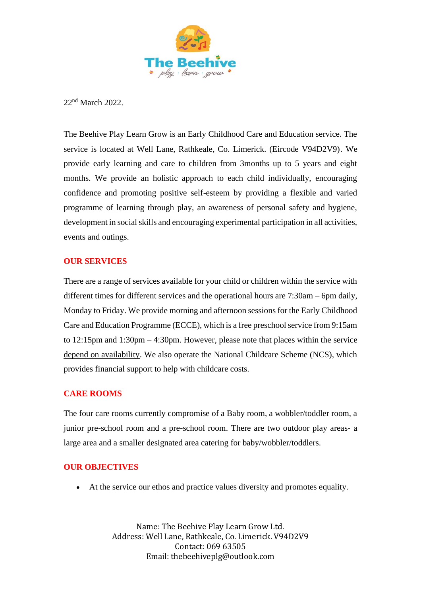

22nd March 2022.

The Beehive Play Learn Grow is an Early Childhood Care and Education service. The service is located at Well Lane, Rathkeale, Co. Limerick. (Eircode V94D2V9). We provide early learning and care to children from 3months up to 5 years and eight months. We provide an holistic approach to each child individually, encouraging confidence and promoting positive self-esteem by providing a flexible and varied programme of learning through play, an awareness of personal safety and hygiene, development in social skills and encouraging experimental participation in all activities, events and outings.

## **OUR SERVICES**

There are a range of services available for your child or children within the service with different times for different services and the operational hours are 7:30am – 6pm daily, Monday to Friday. We provide morning and afternoon sessions for the Early Childhood Care and Education Programme (ECCE), which is a free preschool service from 9:15am to 12:15pm and 1:30pm – 4:30pm. However, please note that places within the service depend on availability. We also operate the National Childcare Scheme (NCS), which provides financial support to help with childcare costs.

## **CARE ROOMS**

The four care rooms currently compromise of a Baby room, a wobbler/toddler room, a junior pre-school room and a pre-school room. There are two outdoor play areas- a large area and a smaller designated area catering for baby/wobbler/toddlers.

## **OUR OBJECTIVES**

• At the service our ethos and practice values diversity and promotes equality.

Name: The Beehive Play Learn Grow Ltd. Address: Well Lane, Rathkeale, Co. Limerick. V94D2V9 Contact: 069 63505 Email: thebeehiveplg@outlook.com